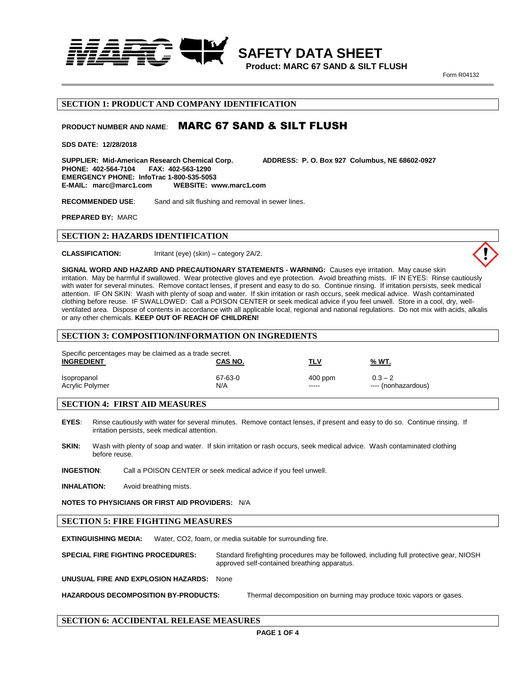

**Product: MARC 67 SAND & SILT FLUSH** 

 **SAFETY DATA SHEET**

**Form R04132** 

### **SECTION 1: PRODUCT AND COMPANY IDENTIFICATION**

# PRODUCT NUMBER AND NAME: **MARC 67 SAND & SILT FLUSH**

**SDS DATE: 12/28/2018**

**SUPPLIER: Mid-American Research Chemical Corp. ADDRESS: P. O. Box 927 Columbus, NE 68602-0927**  PHONE: 402-564-7104 **EMERGENCY PHONE: InfoTrac 1-800-535-5053 E-MAIL: marc@marc1.com WEBSITE: www.marc1.com**

**RECOMMENDED USE**: Sand and silt flushing and removal in sewer lines.

**PREPARED BY:** MARC

### **SECTION 2: HAZARDS IDENTIFICATION**

**CLASSIFICATION:** Irritant (eye) (skin) – category 2A/2.



#### **SECTION 3: COMPOSITION/INFORMATION ON INGREDIENTS**

| Specific percentages may be claimed as a trade secret.<br><b>INGREDIENT</b> | CAS NO. | TLV       | <u>% WT.</u>        |
|-----------------------------------------------------------------------------|---------|-----------|---------------------|
| Isopropanol                                                                 | 67-63-0 | $400$ ppm | $0.3 - 2$           |
| Acrylic Polymer                                                             | N/A     | -----     | ---- (nonhazardous) |

### **SECTION 4: FIRST AID MEASURES**

- **EYES**: Rinse cautiously with water for several minutes. Remove contact lenses, if present and easy to do so. Continue rinsing. If irritation persists, seek medical attention.
- **SKIN:** Wash with plenty of soap and water. If skin irritation or rash occurs, seek medical advice. Wash contaminated clothing before reuse.

**INGESTION**: Call a POISON CENTER or seek medical advice if you feel unwell.

**INHALATION:** Avoid breathing mists.

**NOTES TO PHYSICIANS OR FIRST AID PROVIDERS:** N/A

#### **SECTION 5: FIRE FIGHTING MEASURES**

**EXTINGUISHING MEDIA:** Water, CO2, foam, or media suitable for surrounding fire.

**SPECIAL FIRE FIGHTING PROCEDURES:** Standard firefighting procedures may be followed, including full protective gear, NIOSH approved self-contained breathing apparatus.

**UNUSUAL FIRE AND EXPLOSION HAZARDS:** None

**HAZARDOUS DECOMPOSITION BY-PRODUCTS:** Thermal decomposition on burning may produce toxic vapors or gases.

### **SECTION 6: ACCIDENTAL RELEASE MEASURES**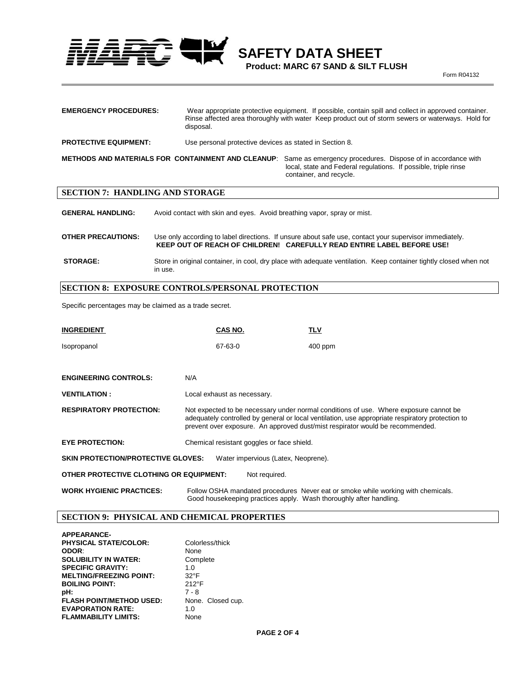$\frac{1}{2}$  **SAFETY DATA SHEET** 

 **Product: MARC 67 SAND & SILT FLUSH Form R04132** 

| <b>EMERGENCY PROCEDURES:</b> | Wear appropriate protective equipment. If possible, contain spill and collect in approved container.<br>Rinse affected area thoroughly with water Keep product out of storm sewers or waterways. Hold for<br>disposal. |                                                                                                                                                                                                              |
|------------------------------|------------------------------------------------------------------------------------------------------------------------------------------------------------------------------------------------------------------------|--------------------------------------------------------------------------------------------------------------------------------------------------------------------------------------------------------------|
| <b>PROTECTIVE EQUIPMENT:</b> | Use personal protective devices as stated in Section 8.                                                                                                                                                                |                                                                                                                                                                                                              |
|                              |                                                                                                                                                                                                                        | METHODS AND MATERIALS FOR CONTAINMENT AND CLEANUP: Same as emergency procedures. Dispose of in accordance with<br>local, state and Federal regulations. If possible, triple rinse<br>container, and recycle. |

## **SECTION 7: HANDLING AND STORAGE**

**GENERAL HANDLING:** Avoid contact with skin and eyes. Avoid breathing vapor, spray or mist.

**OTHER PRECAUTIONS:** Use only according to label directions. If unsure about safe use, contact your supervisor immediately. **KEEP OUT OF REACH OF CHILDREN! CAREFULLY READ ENTIRE LABEL BEFORE USE!**

**STORAGE:** Store in original container, in cool, dry place with adequate ventilation. Keep container tightly closed when not in use.

# **SECTION 8: EXPOSURE CONTROLS/PERSONAL PROTECTION**

Specific percentages may be claimed as a trade secret.

| INGREDIENT                                                                       | CAS NO.                                                                                                                                                                                                                                                                    | TLV                                                                              |
|----------------------------------------------------------------------------------|----------------------------------------------------------------------------------------------------------------------------------------------------------------------------------------------------------------------------------------------------------------------------|----------------------------------------------------------------------------------|
| Isopropanol                                                                      | 67-63-0                                                                                                                                                                                                                                                                    | $400$ ppm                                                                        |
|                                                                                  |                                                                                                                                                                                                                                                                            |                                                                                  |
| <b>ENGINEERING CONTROLS:</b>                                                     | N/A                                                                                                                                                                                                                                                                        |                                                                                  |
| <b>VENTILATION :</b>                                                             | Local exhaust as necessary.                                                                                                                                                                                                                                                |                                                                                  |
| <b>RESPIRATORY PROTECTION:</b>                                                   | Not expected to be necessary under normal conditions of use. Where exposure cannot be<br>adequately controlled by general or local ventilation, use appropriate respiratory protection to<br>prevent over exposure. An approved dust/mist respirator would be recommended. |                                                                                  |
| <b>EYE PROTECTION:</b>                                                           | Chemical resistant goggles or face shield.                                                                                                                                                                                                                                 |                                                                                  |
| <b>SKIN PROTECTION/PROTECTIVE GLOVES:</b><br>Water impervious (Latex, Neoprene). |                                                                                                                                                                                                                                                                            |                                                                                  |
| OTHER PROTECTIVE CLOTHING OR EQUIPMENT:                                          | Not required.                                                                                                                                                                                                                                                              |                                                                                  |
| <b>WORK HYGIENIC PRACTICES:</b>                                                  | Good housekeeping practices apply. Wash thoroughly after handling.                                                                                                                                                                                                         | Follow OSHA mandated procedures Never eat or smoke while working with chemicals. |

## **SECTION 9: PHYSICAL AND CHEMICAL PROPERTIES**

| <b>APPEARANCE-</b>              |                   |
|---------------------------------|-------------------|
| <b>PHYSICAL STATE/COLOR:</b>    | Colorless/thick   |
| ODOR:                           | None              |
| <b>SOLUBILITY IN WATER:</b>     | Complete          |
| <b>SPECIFIC GRAVITY:</b>        | 1.0               |
| <b>MELTING/FREEZING POINT:</b>  | $32^{\circ}F$     |
| <b>BOILING POINT:</b>           | $212^{\circ}F$    |
| pH:                             | $7 - 8$           |
| <b>FLASH POINT/METHOD USED:</b> | None. Closed cup. |
| <b>EVAPORATION RATE:</b>        | 1.0               |
| <b>FLAMMABILITY LIMITS:</b>     | None              |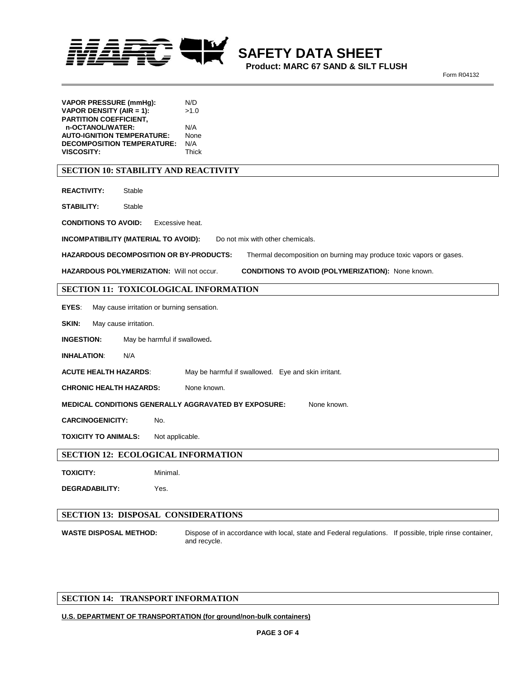

**Product: MARC 67 SAND & SILT FLUSH** 

**Form R04132** 

| <b>VAPOR PRESSURE (mmHg):</b><br>VAPOR DENSITY (AIR = 1):                                                             | N/D<br>>1.0                      |  |
|-----------------------------------------------------------------------------------------------------------------------|----------------------------------|--|
| <b>PARTITION COEFFICIENT,</b>                                                                                         |                                  |  |
| n-OCTANOL/WATER:<br><b>AUTO-IGNITION TEMPERATURE:</b>                                                                 | N/A<br>None                      |  |
| <b>DECOMPOSITION TEMPERATURE:</b>                                                                                     | N/A                              |  |
| <b>VISCOSITY:</b>                                                                                                     | Thick                            |  |
| <b>SECTION 10: STABILITY AND REACTIVITY</b>                                                                           |                                  |  |
| <b>REACTIVITY:</b><br>Stable                                                                                          |                                  |  |
| <b>STABILITY:</b><br>Stable                                                                                           |                                  |  |
| <b>CONDITIONS TO AVOID:</b><br>Excessive heat.                                                                        |                                  |  |
| INCOMPATIBILITY (MATERIAL TO AVOID):                                                                                  | Do not mix with other chemicals. |  |
| <b>HAZARDOUS DECOMPOSITION OR BY-PRODUCTS:</b><br>Thermal decomposition on burning may produce toxic vapors or gases. |                                  |  |
| HAZARDOUS POLYMERIZATION: Will not occur.<br><b>CONDITIONS TO AVOID (POLYMERIZATION): None known.</b>                 |                                  |  |
| SECTION 11: TOXICOLOGICAL INFORMATION                                                                                 |                                  |  |
| EYES:<br>May cause irritation or burning sensation.                                                                   |                                  |  |
| SKIN:<br>May cause irritation.                                                                                        |                                  |  |
| <b>INGESTION:</b><br>May be harmful if swallowed.                                                                     |                                  |  |
| <b>INHALATION:</b><br>N/A                                                                                             |                                  |  |
| <b>ACUTE HEALTH HAZARDS:</b><br>May be harmful if swallowed. Eye and skin irritant.                                   |                                  |  |
| <b>CHRONIC HEALTH HAZARDS:</b>                                                                                        | None known.                      |  |
| <b>MEDICAL CONDITIONS GENERALLY AGGRAVATED BY EXPOSURE:</b><br>None known.                                            |                                  |  |
| <b>CARCINOGENICITY:</b><br>No.                                                                                        |                                  |  |
| <b>TOXICITY TO ANIMALS:</b><br>Not applicable.                                                                        |                                  |  |
| <b>SECTION 12: ECOLOGICAL INFORMATION</b>                                                                             |                                  |  |
| <b>TOXICITY:</b><br>Minimal.                                                                                          |                                  |  |
| <b>DEGRADABILITY:</b><br>Yes.                                                                                         |                                  |  |
|                                                                                                                       |                                  |  |
| <b>SECTION 13: DISPOSAL CONSIDERATIONS</b>                                                                            |                                  |  |
|                                                                                                                       |                                  |  |

**WASTE DISPOSAL METHOD:** Dispose of in accordance with local, state and Federal regulations. If possible, triple rinse container, and recycle.

# **SECTION 14: TRANSPORT INFORMATION**

### **U.S. DEPARTMENT OF TRANSPORTATION (for ground/non-bulk containers)**